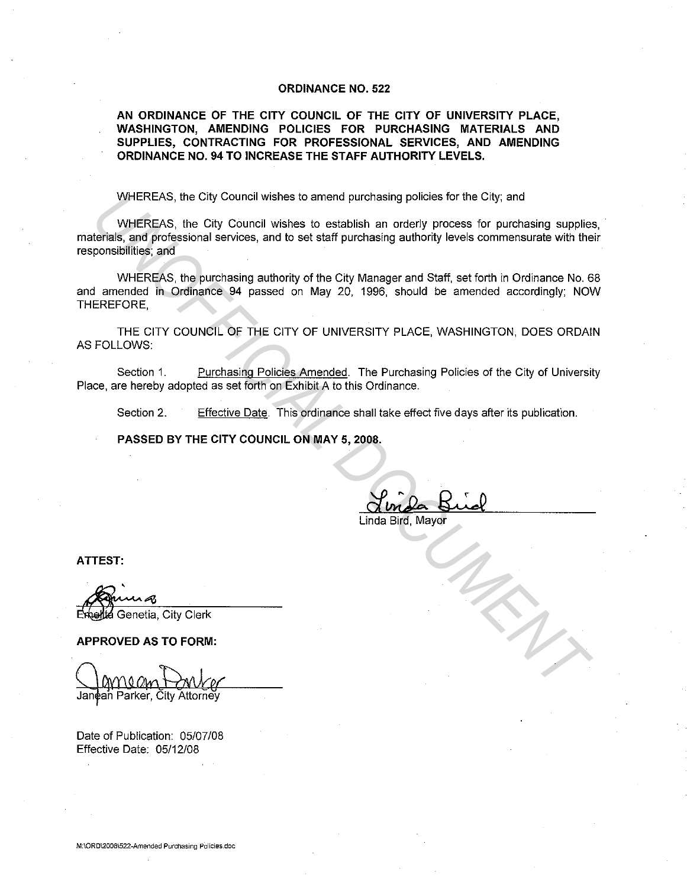## **ORDINANCE NO. 522**

**AN ORDINANCE OF THE CITY COUNCIL OF THE CITY OF UNIVERSITY PLACE, WASHINGTON, AMENDING POLICIES FOR PURCHASING MATERIALS AND SUPPLIES, CONTRACTING FOR PROFESSIONAL SERVICES, AND AMENDING ORDINANCE NO. 94 TO INCREASE THE STAFF AUTHORITY LEVELS.** 

WHEREAS, the City Council wishes to amend purchasing policies for the City; and

WHEREAS, the City Council wishes to establish an orderly process for purchasing supplies, materials, and professional services, and to set staff purchasing authority levels commensurate with their responsibilities; and WHEREAS, the City Council wishes to amend purchasing policies for the City, and<br>
uMEREAS, the City Council wishes to establish an orderly process for purchasing supplie<br>
trends, and professional several wishes to est stiff

WHEREAS, the purchasing authority of the City Manager and Staff. set forth in Ordinance No. 68 and amended in Ordinance 94 passed on May 20, 1996, should be amended accordingly; NOW THEREFORE,

THE CITY COUNCIL OF THE CITY OF UNIVERSITY PLACE, WASHINGTON, DOES ORDAIN AS FOLLOWS:

Section 1. Purchasing Policies Amended. The Purchasing Policies of the City of University Place, are hereby adopted as set forth on Exhibit A to this Ordinance.

Section 2. Effective Date. This ordinance shall take effect five days after its publication.

**PASSED BY THE CITY COUNCIL ON MAY 5, 2008.** 

Linda Bird, Mayor

**ATTEST:** 

tia Genetia. City Clerk

**APPROVED AS TO FORM:** 

Date of Publication: 05/07/08 Effective Date: 05/12/08